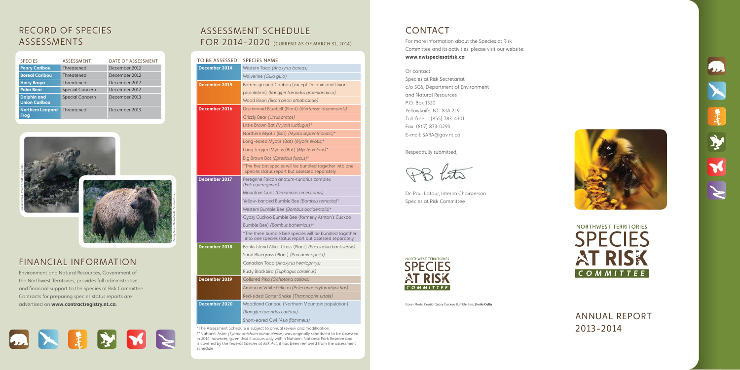ANNUAL REPORT 2013-2014

For more information about the Species at Risk Committee and its activities, please visit our website:

#### **www.nwtspeciesatrisk.ca**

Or contact:





# **CONTACT**

Species at Risk Secretariat c/o SC6, Department of Environment and Natural Resources P.O. Box 1320 Yellowknife, NT X1A 2L9 Toll-free: 1 (855) 783-4301 Fax: (867) 873-0293 E-mail: SARA@gov.nt.ca

Respectfully submitted,

Dr. Paul Latour, Interim Chairperson Species at Risk Committee



**Cover Photo Credit: Gypsy Cuckoo Bumble Bee, Sheila Colla** 





Environment and Natural Resources, Government of the Northwest Territories, provides full administrative and financial support to the Species at Risk Committee. Contracts for preparing species status reports are advertised on **www.contractregistry.nt.ca**



## ASSESSMENT SCHEDU FOR 2014-2020 (CURRENT AS OF MARCH 31, 2014)

| TE OF ASSESSMENT                             | <b>TO BE ASSESSED</b> | <b>SPECIES NAME</b>                                                                                               | <b>WW</b>                     |
|----------------------------------------------|-----------------------|-------------------------------------------------------------------------------------------------------------------|-------------------------------|
| cember 2012                                  | <b>December 2014</b>  | Western Toad (Anaxyrus boreas)                                                                                    |                               |
| cember 2012                                  |                       | Wolverine (Gulo gulo)                                                                                             | Or c                          |
| cember 2012                                  | December 2015         | Barren-ground Caribou (except Dolphin and Union                                                                   | Spe<br>C/O                    |
| cember 2012                                  |                       | population) (Rangifer tarandus groenlandicus)                                                                     | and                           |
| cember 2013                                  |                       | Wood Bison (Bison bison athabascae)                                                                               | P.O.                          |
| cember 2013                                  | <b>December 2016</b>  | Drummond Bluebell (Plant) (Mertensia drummondii)                                                                  | Yello                         |
|                                              |                       | Grizzly Bear (Ursus arctos)                                                                                       | Toll-                         |
|                                              |                       | Little Brown Bat (Myotis lucifugus)*                                                                              | Fax:                          |
|                                              |                       | Northern Myotis (Bat) (Myotis septentrionalis)*                                                                   | $E-m$                         |
|                                              |                       | Long-eared Myotis (Bat) (Myotis evotis)*                                                                          |                               |
|                                              |                       | Long-legged Myotis (Bat) (Myotis volans)*                                                                         | Resp                          |
|                                              |                       | Big Brown Bat (Eptesicus fuscus)*                                                                                 |                               |
|                                              |                       | *The five bat species will be bundled together into one<br>species status report but assessed separately.         | $\overline{f}$                |
| Gordon<br>Photo <sub>1</sub><br>Jrizzly Bear | December 2017         | Peregrine Falcon anatum-tundrius complex<br>(Falco peregrinus)                                                    |                               |
|                                              |                       | Mountain Goat (Oreamnos americanus)                                                                               | Dr. F                         |
|                                              |                       | Yellow-banded Bumble Bee (Bombus terricola)*                                                                      | Spe                           |
|                                              |                       | Western Bumble Bee (Bombus occidentalis)*                                                                         |                               |
|                                              |                       | Gypsy Cuckoo Bumble Bee (formerly Ashton's Cuckoo                                                                 |                               |
|                                              |                       | Bumble Bee) (Bombus bohemicus)*                                                                                   |                               |
|                                              |                       | *The three bumble bee species will be bundled together<br>into one species status report but assessed separately. |                               |
|                                              | December 2018         | Banks Island Alkali Grass (Plant) (Puccinellia banksiensis)                                                       |                               |
|                                              |                       | Sand Bluegrass (Plant) (Poa ammophila)                                                                            | <b>NORT</b>                   |
| TON                                          |                       | Canadian Toad (Anaxyrus hemiophrys)                                                                               | $\mathsf{C}\,\mathsf{\Gamma}$ |
| nment of                                     |                       | Rusty Blackbird (Euphagus carolinus)                                                                              |                               |
| inistrative                                  | December 2019         | Collared Pika (Ochotona collaris)                                                                                 |                               |
| <b>Committee.</b>                            |                       | American White Pelican (Pelecanus erythrorhynchos)                                                                | $\overline{c}$                |
| orts are                                     |                       | Red-sided Garter Snake (Thamnophis sirtalis)                                                                      |                               |
|                                              | <b>December 2020</b>  | Woodland Caribou (Northern Mountain population)                                                                   | Cover                         |
|                                              |                       | (Rangifer tarandus caribou)                                                                                       |                               |
|                                              |                       | Short-eared Owl (Asio flammeus)                                                                                   |                               |

\*The Assessment Schedule is subject to annual review and modification.

\*\*Nahanni Aster *(Symphotrichum nahanniense)* was originally scheduled to be assessed in 2014; however, given that it occurs only within Nahanni National Park Reserve and is covered by the federal *Species at Risk Act*, it has been removed from the assessment schedule.

| <b>SPECIES</b>                             | <b>ASSESSMENT</b>      | DATE OF ASSESSMENT |
|--------------------------------------------|------------------------|--------------------|
| <b>Peary Caribou</b>                       | Threatened             | December 2012      |
| <b>Boreal Caribou</b>                      | Threatened             | December 2012      |
| <b>Hairy Braya</b>                         | Threatened             | December 2012      |
| <b>Polar Bear</b>                          | <b>Special Concern</b> | December 2012      |
| <b>Dolphin and</b><br><b>Union Caribou</b> | <b>Special Concern</b> | December 2013      |
| <b>Northern Leopard</b><br><b>Frog</b>     | Threatened             | December 2013      |

# R E C ORD OF SPECI ES ASS ESSMENT S

## FINANCIAL INFORMATIO